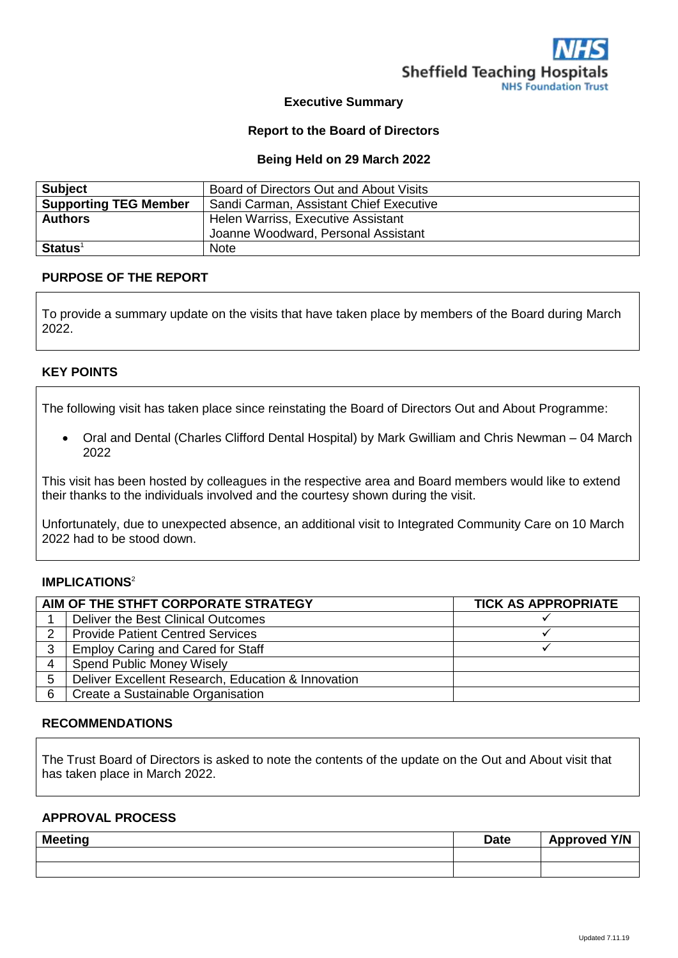

## **Executive Summary**

### **Report to the Board of Directors**

#### **Being Held on 29 March 2022**

| <b>Subject</b>               | Board of Directors Out and About Visits |
|------------------------------|-----------------------------------------|
| <b>Supporting TEG Member</b> | Sandi Carman, Assistant Chief Executive |
| <b>Authors</b>               | Helen Warriss, Executive Assistant      |
|                              | Joanne Woodward, Personal Assistant     |
| $Status1$                    | <b>Note</b>                             |

#### **PURPOSE OF THE REPORT**

To provide a summary update on the visits that have taken place by members of the Board during March 2022.

### **KEY POINTS**

The following visit has taken place since reinstating the Board of Directors Out and About Programme:

 Oral and Dental (Charles Clifford Dental Hospital) by Mark Gwilliam and Chris Newman – 04 March 2022

This visit has been hosted by colleagues in the respective area and Board members would like to extend their thanks to the individuals involved and the courtesy shown during the visit.

Unfortunately, due to unexpected absence, an additional visit to Integrated Community Care on 10 March 2022 had to be stood down.

## **IMPLICATIONS**<sup>2</sup>

| AIM OF THE STHFT CORPORATE STRATEGY |                                                    | <b>TICK AS APPROPRIATE</b> |
|-------------------------------------|----------------------------------------------------|----------------------------|
|                                     | Deliver the Best Clinical Outcomes                 |                            |
| $\mathcal{P}$                       | <b>Provide Patient Centred Services</b>            |                            |
| 3                                   | <b>Employ Caring and Cared for Staff</b>           |                            |
| 4                                   | <b>Spend Public Money Wisely</b>                   |                            |
| 5                                   | Deliver Excellent Research, Education & Innovation |                            |
| 6                                   | Create a Sustainable Organisation                  |                            |

#### **RECOMMENDATIONS**

The Trust Board of Directors is asked to note the contents of the update on the Out and About visit that has taken place in March 2022.

#### **APPROVAL PROCESS**

| <b>Meeting</b> | <b>Date</b> | <b>Approved Y/N</b> |
|----------------|-------------|---------------------|
|                |             |                     |
|                |             |                     |